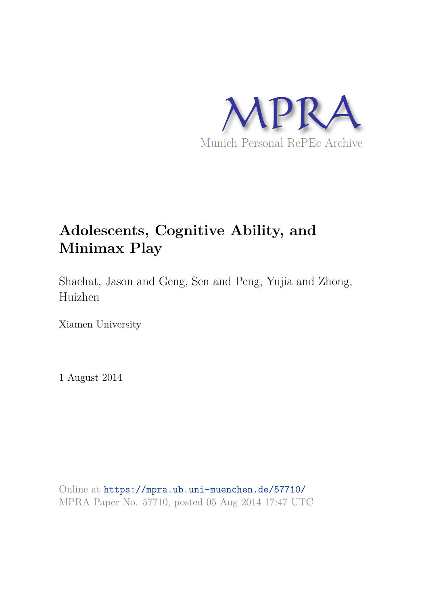

# **Adolescents, Cognitive Ability, and Minimax Play**

Shachat, Jason and Geng, Sen and Peng, Yujia and Zhong, Huizhen

Xiamen University

1 August 2014

Online at https://mpra.ub.uni-muenchen.de/57710/ MPRA Paper No. 57710, posted 05 Aug 2014 17:47 UTC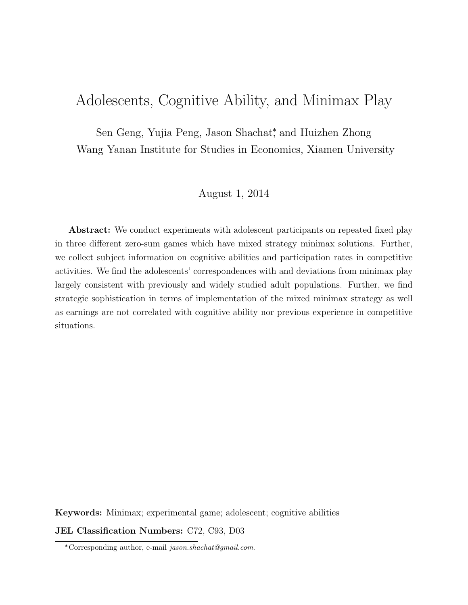# Adolescents, Cognitive Ability, and Minimax Play

Sen Geng, Yujia Peng, Jason Shachat<sup>\*</sup>, and Huizhen Zhong Wang Yanan Institute for Studies in Economics, Xiamen University

#### August 1, 2014

Abstract: We conduct experiments with adolescent participants on repeated fixed play in three different zero-sum games which have mixed strategy minimax solutions. Further, we collect subject information on cognitive abilities and participation rates in competitive activities. We find the adolescents' correspondences with and deviations from minimax play largely consistent with previously and widely studied adult populations. Further, we find strategic sophistication in terms of implementation of the mixed minimax strategy as well as earnings are not correlated with cognitive ability nor previous experience in competitive situations.

Keywords: Minimax; experimental game; adolescent; cognitive abilities JEL Classification Numbers: C72, C93, D03

<sup>✯</sup>Corresponding author, e-mail jason.shachat@gmail.com.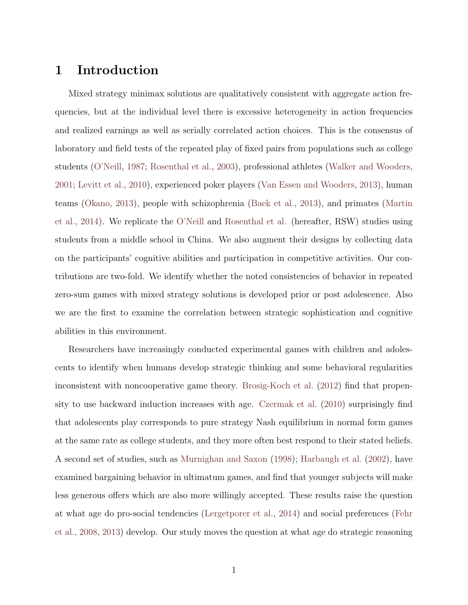## 1 Introduction

Mixed strategy minimax solutions are qualitatively consistent with aggregate action frequencies, but at the individual level there is excessive heterogeneity in action frequencies and realized earnings as well as serially correlated action choices. This is the consensus of laboratory and field tests of the repeated play of fixed pairs from populations such as college students (O'Neill, 1987; Rosenthal et al., 2003), professional athletes (Walker and Wooders, 2001; Levitt et al., 2010), experienced poker players (Van Essen and Wooders, 2013), human teams (Okano, 2013), people with schizophrenia (Baek et al., 2013), and primates (Martin et al., 2014). We replicate the O'Neill and Rosenthal et al. (hereafter, RSW) studies using students from a middle school in China. We also augment their designs by collecting data on the participants' cognitive abilities and participation in competitive activities. Our contributions are two-fold. We identify whether the noted consistencies of behavior in repeated zero-sum games with mixed strategy solutions is developed prior or post adolescence. Also we are the first to examine the correlation between strategic sophistication and cognitive abilities in this environment.

Researchers have increasingly conducted experimental games with children and adolescents to identify when humans develop strategic thinking and some behavioral regularities inconsistent with noncooperative game theory. Brosig-Koch et al. (2012) find that propensity to use backward induction increases with age. Czermak et al. (2010) surprisingly find that adolescents play corresponds to pure strategy Nash equilibrium in normal form games at the same rate as college students, and they more often best respond to their stated beliefs. A second set of studies, such as Murnighan and Saxon (1998); Harbaugh et al. (2002), have examined bargaining behavior in ultimatum games, and find that younger subjects will make less generous offers which are also more willingly accepted. These results raise the question at what age do pro-social tendencies (Lergetporer et al., 2014) and social preferences (Fehr et al., 2008, 2013) develop. Our study moves the question at what age do strategic reasoning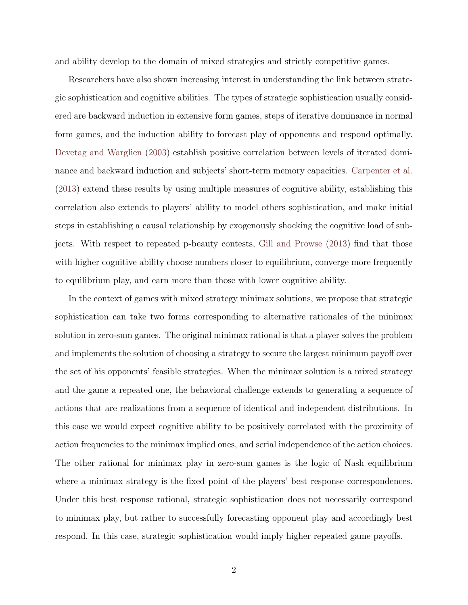and ability develop to the domain of mixed strategies and strictly competitive games.

Researchers have also shown increasing interest in understanding the link between strategic sophistication and cognitive abilities. The types of strategic sophistication usually considered are backward induction in extensive form games, steps of iterative dominance in normal form games, and the induction ability to forecast play of opponents and respond optimally. Devetag and Warglien (2003) establish positive correlation between levels of iterated dominance and backward induction and subjects' short-term memory capacities. Carpenter et al. (2013) extend these results by using multiple measures of cognitive ability, establishing this correlation also extends to players' ability to model others sophistication, and make initial steps in establishing a causal relationship by exogenously shocking the cognitive load of subjects. With respect to repeated p-beauty contests, Gill and Prowse (2013) find that those with higher cognitive ability choose numbers closer to equilibrium, converge more frequently to equilibrium play, and earn more than those with lower cognitive ability.

In the context of games with mixed strategy minimax solutions, we propose that strategic sophistication can take two forms corresponding to alternative rationales of the minimax solution in zero-sum games. The original minimax rational is that a player solves the problem and implements the solution of choosing a strategy to secure the largest minimum payoff over the set of his opponents' feasible strategies. When the minimax solution is a mixed strategy and the game a repeated one, the behavioral challenge extends to generating a sequence of actions that are realizations from a sequence of identical and independent distributions. In this case we would expect cognitive ability to be positively correlated with the proximity of action frequencies to the minimax implied ones, and serial independence of the action choices. The other rational for minimax play in zero-sum games is the logic of Nash equilibrium where a minimax strategy is the fixed point of the players' best response correspondences. Under this best response rational, strategic sophistication does not necessarily correspond to minimax play, but rather to successfully forecasting opponent play and accordingly best respond. In this case, strategic sophistication would imply higher repeated game payoffs.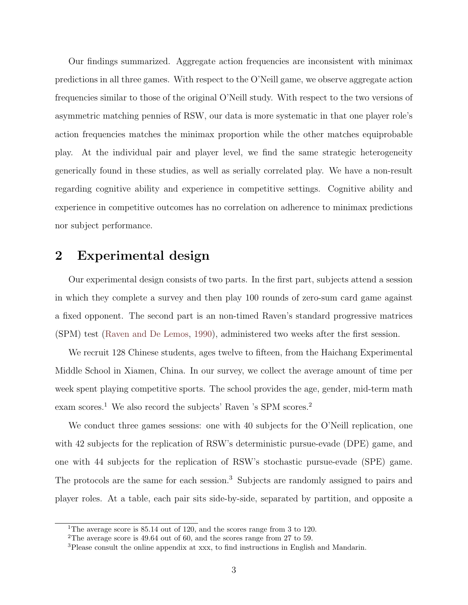Our findings summarized. Aggregate action frequencies are inconsistent with minimax predictions in all three games. With respect to the O'Neill game, we observe aggregate action frequencies similar to those of the original O'Neill study. With respect to the two versions of asymmetric matching pennies of RSW, our data is more systematic in that one player role's action frequencies matches the minimax proportion while the other matches equiprobable play. At the individual pair and player level, we find the same strategic heterogeneity generically found in these studies, as well as serially correlated play. We have a non-result regarding cognitive ability and experience in competitive settings. Cognitive ability and experience in competitive outcomes has no correlation on adherence to minimax predictions nor subject performance.

### 2 Experimental design

Our experimental design consists of two parts. In the first part, subjects attend a session in which they complete a survey and then play 100 rounds of zero-sum card game against a fixed opponent. The second part is an non-timed Raven's standard progressive matrices (SPM) test (Raven and De Lemos, 1990), administered two weeks after the first session.

We recruit 128 Chinese students, ages twelve to fifteen, from the Haichang Experimental Middle School in Xiamen, China. In our survey, we collect the average amount of time per week spent playing competitive sports. The school provides the age, gender, mid-term math exam scores.<sup>1</sup> We also record the subjects' Raven 's SPM scores.<sup>2</sup>

We conduct three games sessions: one with 40 subjects for the O'Neill replication, one with 42 subjects for the replication of RSW's deterministic pursue-evade (DPE) game, and one with 44 subjects for the replication of RSW's stochastic pursue-evade (SPE) game. The protocols are the same for each session.<sup>3</sup> Subjects are randomly assigned to pairs and player roles. At a table, each pair sits side-by-side, separated by partition, and opposite a

<sup>&</sup>lt;sup>1</sup>The average score is 85.14 out of 120, and the scores range from 3 to 120.

<sup>2</sup>The average score is 49.64 out of 60, and the scores range from 27 to 59.

<sup>3</sup>Please consult the online appendix at xxx, to find instructions in English and Mandarin.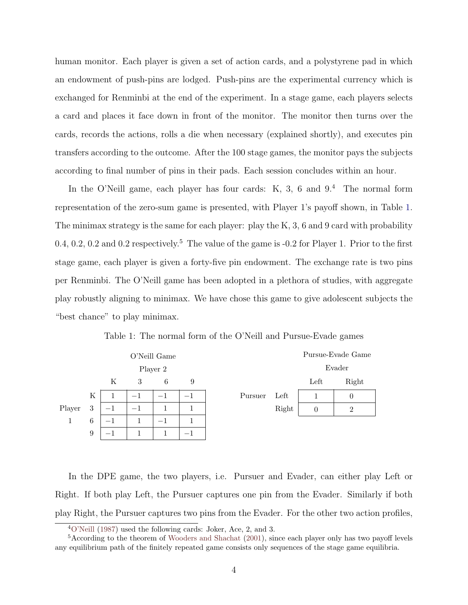human monitor. Each player is given a set of action cards, and a polystyrene pad in which an endowment of push-pins are lodged. Push-pins are the experimental currency which is exchanged for Renminbi at the end of the experiment. In a stage game, each players selects a card and places it face down in front of the monitor. The monitor then turns over the cards, records the actions, rolls a die when necessary (explained shortly), and executes pin transfers according to the outcome. After the 100 stage games, the monitor pays the subjects according to final number of pins in their pads. Each session concludes within an hour.

In the O'Neill game, each player has four cards:  $K$ , 3, 6 and  $9<sup>4</sup>$ . The normal form representation of the zero-sum game is presented, with Player 1's payoff shown, in Table 1. The minimax strategy is the same for each player: play the K, 3, 6 and 9 card with probability 0.4, 0.2, 0.2 and 0.2 respectively.<sup>5</sup> The value of the game is -0.2 for Player 1. Prior to the first stage game, each player is given a forty-five pin endowment. The exchange rate is two pins per Renminbi. The O'Neill game has been adopted in a plethora of studies, with aggregate play robustly aligning to minimax. We have chose this game to give adolescent subjects the "best chance" to play minimax.





In the DPE game, the two players, i.e. Pursuer and Evader, can either play Left or Right. If both play Left, the Pursuer captures one pin from the Evader. Similarly if both play Right, the Pursuer captures two pins from the Evader. For the other two action profiles,

<sup>4</sup>O'Neill (1987) used the following cards: Joker, Ace, 2, and 3.

<sup>&</sup>lt;sup>5</sup>According to the theorem of Wooders and Shachat (2001), since each player only has two payoff levels any equilibrium path of the finitely repeated game consists only sequences of the stage game equilibria.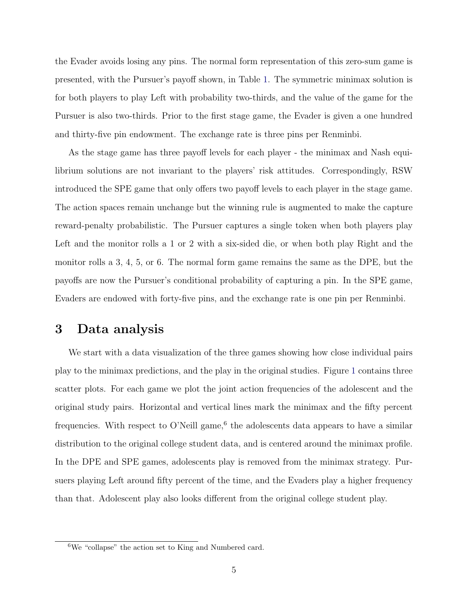the Evader avoids losing any pins. The normal form representation of this zero-sum game is presented, with the Pursuer's payoff shown, in Table 1. The symmetric minimax solution is for both players to play Left with probability two-thirds, and the value of the game for the Pursuer is also two-thirds. Prior to the first stage game, the Evader is given a one hundred and thirty-five pin endowment. The exchange rate is three pins per Renminbi.

As the stage game has three payoff levels for each player - the minimax and Nash equilibrium solutions are not invariant to the players' risk attitudes. Correspondingly, RSW introduced the SPE game that only offers two payoff levels to each player in the stage game. The action spaces remain unchange but the winning rule is augmented to make the capture reward-penalty probabilistic. The Pursuer captures a single token when both players play Left and the monitor rolls a 1 or 2 with a six-sided die, or when both play Right and the monitor rolls a 3, 4, 5, or 6. The normal form game remains the same as the DPE, but the payoffs are now the Pursuer's conditional probability of capturing a pin. In the SPE game, Evaders are endowed with forty-five pins, and the exchange rate is one pin per Renminbi.

# 3 Data analysis

We start with a data visualization of the three games showing how close individual pairs play to the minimax predictions, and the play in the original studies. Figure 1 contains three scatter plots. For each game we plot the joint action frequencies of the adolescent and the original study pairs. Horizontal and vertical lines mark the minimax and the fifty percent frequencies. With respect to O'Neill game,<sup>6</sup> the adolescents data appears to have a similar distribution to the original college student data, and is centered around the minimax profile. In the DPE and SPE games, adolescents play is removed from the minimax strategy. Pursuers playing Left around fifty percent of the time, and the Evaders play a higher frequency than that. Adolescent play also looks different from the original college student play.

<sup>6</sup>We "collapse" the action set to King and Numbered card.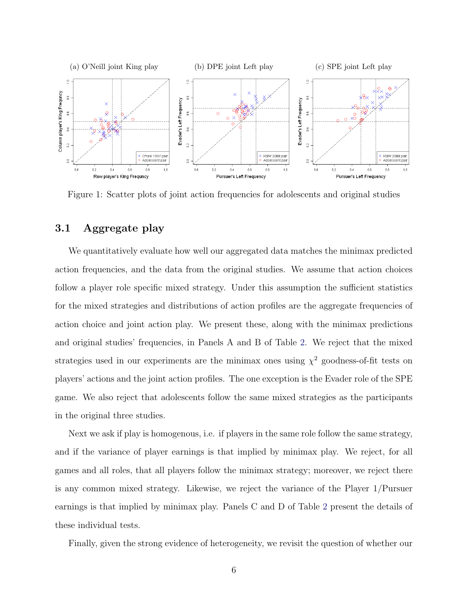

Figure 1: Scatter plots of joint action frequencies for adolescents and original studies

#### 3.1 Aggregate play

We quantitatively evaluate how well our aggregated data matches the minimax predicted action frequencies, and the data from the original studies. We assume that action choices follow a player role specific mixed strategy. Under this assumption the sufficient statistics for the mixed strategies and distributions of action profiles are the aggregate frequencies of action choice and joint action play. We present these, along with the minimax predictions and original studies' frequencies, in Panels A and B of Table 2. We reject that the mixed strategies used in our experiments are the minimax ones using  $\chi^2$  goodness-of-fit tests on players' actions and the joint action profiles. The one exception is the Evader role of the SPE game. We also reject that adolescents follow the same mixed strategies as the participants in the original three studies.

Next we ask if play is homogenous, i.e. if players in the same role follow the same strategy, and if the variance of player earnings is that implied by minimax play. We reject, for all games and all roles, that all players follow the minimax strategy; moreover, we reject there is any common mixed strategy. Likewise, we reject the variance of the Player 1/Pursuer earnings is that implied by minimax play. Panels C and D of Table 2 present the details of these individual tests.

Finally, given the strong evidence of heterogeneity, we revisit the question of whether our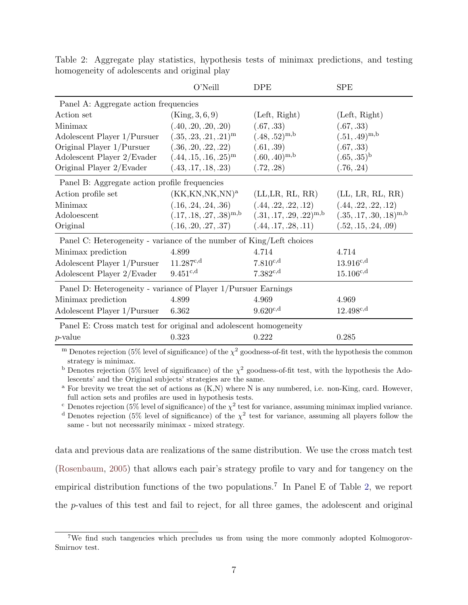|                                                                      | O'Neill                      | <b>DPE</b>                                    | <b>SPE</b>                   |
|----------------------------------------------------------------------|------------------------------|-----------------------------------------------|------------------------------|
| Panel A: Aggregate action frequencies                                |                              |                                               |                              |
| Action set                                                           | (King, 3, 6, 9)              | (Left, Right)                                 | (Left, Right)                |
| Minimax                                                              | (.40, .20, .20, .20)         | (.67, .33)                                    | (.67, .33)                   |
| Adolescent Player 1/Pursuer                                          | $(.35, .23, .21, .21)^m$     | $(.48, .52)^{m,b}$                            | $(.51, .49)^{m,b}$           |
| Original Player $1/P$ ursuer $(.36, .20, .22, .22)$                  |                              | (.61, .39)                                    | (.67, .33)                   |
| Adolescent Player $2/Evader$ (.44, .15, .16, .25) <sup>m</sup>       |                              | $(.60, .40)^{m,b}$                            | $(.65, .35)^{b}$             |
| Original Player 2/Evader                                             | (.43, .17, .18, .23)         | (.72, .28)                                    | (.76, .24)                   |
| Panel B: Aggregate action profile frequencies                        |                              |                                               |                              |
| Action profile set                                                   | $(KK,KN,NK,NN)^a$            | (LL,LR, RL, RR)                               | (LL, LR, RL, RR)             |
| Minimax                                                              | (.16, .24, .24, .36)         | (.44, .22, .22, .12)                          | (.44, .22, .22, .12)         |
| Adoloescent                                                          | $(.17, .18, .27, .38)^{m,b}$ | $(.31, .17, .29, .22)^{m,b}$                  | $(.35, .17, .30, .18)^{m,b}$ |
| Original                                                             |                              | $(.16, .20, .27, .37)$ $(.44, .17, .28, .11)$ | (.52, .15, .24, .09)         |
| Panel C: Heterogeneity - variance of the number of King/Left choices |                              |                                               |                              |
| Minimax prediction                                                   | 4.899                        | 4.714                                         | 4.714                        |
| Adolescent Player 1/Pursuer                                          | $11.287^{c,d}$               | $7.810^{c,d}$                                 | $13.916^{c,d}$               |
| Adolescent Player 2/Evader                                           | $9.451^{c,d}$                | $7.382^{c,d}$                                 | $15.106^{c,d}$               |
| Panel D: Heterogeneity - variance of Player 1/Pursuer Earnings       |                              |                                               |                              |
| Minimax prediction                                                   | 4.899                        | 4.969                                         | 4.969                        |
| Adolescent Player 1/Pursuer                                          | 6.362                        | $9.620^{c,d}$                                 | $12.498^{c,d}$               |
| Panel E: Cross match test for original and adolescent homogeneity    |                              |                                               |                              |
| <i>p</i> -value                                                      | 0.323                        | 0.222                                         | 0.285                        |

Table 2: Aggregate play statistics, hypothesis tests of minimax predictions, and testing homogeneity of adolescents and original play

<sup>m</sup> Denotes rejection (5% level of significance) of the  $\chi^2$  goodness-of-fit test, with the hypothesis the common strategy is minimax.

<sup>b</sup> Denotes rejection (5% level of significance) of the  $\chi^2$  goodness-of-fit test, with the hypothesis the Adolescents' and the Original subjects' strategies are the same.

<sup>a</sup> For brevity we treat the set of actions as  $(K, N)$  where N is any numbered, i.e. non-King, card. However, full action sets and profiles are used in hypothesis tests.

<sup>c</sup> Denotes rejection (5% level of significance) of the  $\chi^2$  test for variance, assuming minimax implied variance.

<sup>d</sup> Denotes rejection (5% level of significance) of the  $\chi^2$  test for variance, assuming all players follow the same - but not necessarily minimax - mixed strategy.

data and previous data are realizations of the same distribution. We use the cross match test (Rosenbaum, 2005) that allows each pair's strategy profile to vary and for tangency on the empirical distribution functions of the two populations.<sup>7</sup> In Panel E of Table 2, we report the p-values of this test and fail to reject, for all three games, the adolescent and original

<sup>&</sup>lt;sup>7</sup>We find such tangencies which precludes us from using the more commonly adopted Kolmogorov-Smirnov test.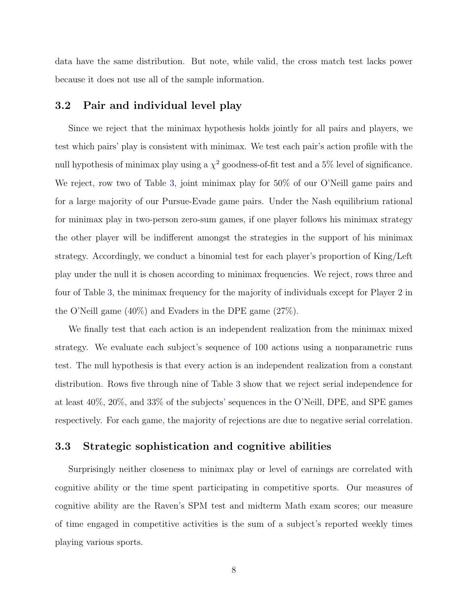data have the same distribution. But note, while valid, the cross match test lacks power because it does not use all of the sample information.

#### 3.2 Pair and individual level play

Since we reject that the minimax hypothesis holds jointly for all pairs and players, we test which pairs' play is consistent with minimax. We test each pair's action profile with the null hypothesis of minimax play using a  $\chi^2$  goodness-of-fit test and a 5% level of significance. We reject, row two of Table 3, joint minimax play for 50% of our O'Neill game pairs and for a large majority of our Pursue-Evade game pairs. Under the Nash equilibrium rational for minimax play in two-person zero-sum games, if one player follows his minimax strategy the other player will be indifferent amongst the strategies in the support of his minimax strategy. Accordingly, we conduct a binomial test for each player's proportion of King/Left play under the null it is chosen according to minimax frequencies. We reject, rows three and four of Table 3, the minimax frequency for the majority of individuals except for Player 2 in the O'Neill game (40%) and Evaders in the DPE game (27%).

We finally test that each action is an independent realization from the minimax mixed strategy. We evaluate each subject's sequence of 100 actions using a nonparametric runs test. The null hypothesis is that every action is an independent realization from a constant distribution. Rows five through nine of Table 3 show that we reject serial independence for at least 40%, 20%, and 33% of the subjects' sequences in the O'Neill, DPE, and SPE games respectively. For each game, the majority of rejections are due to negative serial correlation.

#### 3.3 Strategic sophistication and cognitive abilities

Surprisingly neither closeness to minimax play or level of earnings are correlated with cognitive ability or the time spent participating in competitive sports. Our measures of cognitive ability are the Raven's SPM test and midterm Math exam scores; our measure of time engaged in competitive activities is the sum of a subject's reported weekly times playing various sports.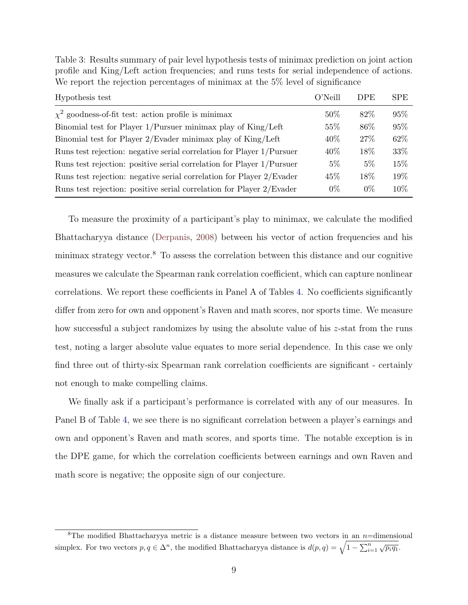| Hypothesis test                                                       | $O'$ Neill | <b>DPE</b> | <b>SPE</b> |
|-----------------------------------------------------------------------|------------|------------|------------|
| $\chi^2$ goodness-of-fit test: action profile is minimax              | 50\%       | 82\%       | 95%        |
| Binomial test for Player 1/Pursuer minimax play of King/Left          | 55\%       | 86\%       | 95%        |
| Binomial test for Player 2/Evader minimax play of King/Left           | 40\%       | 27\%       | 62\%       |
| Runs test rejection: negative serial correlation for Player 1/Pursuer | 40\%       | 18%        | 33\%       |
| Runs test rejection: positive serial correlation for Player 1/Pursuer | $5\%$      | $5\%$      | 15\%       |
| Runs test rejection: negative serial correlation for Player 2/Evader  | 45\%       | 18%        | 19%        |
| Runs test rejection: positive serial correlation for Player 2/Evader  | $0\%$      | $0\%$      | 10\%       |

Table 3: Results summary of pair level hypothesis tests of minimax prediction on joint action profile and King/Left action frequencies; and runs tests for serial independence of actions. We report the rejection percentages of minimax at the 5% level of significance

To measure the proximity of a participant's play to minimax, we calculate the modified Bhattacharyya distance (Derpanis, 2008) between his vector of action frequencies and his minimax strategy vector.<sup>8</sup> To assess the correlation between this distance and our cognitive measures we calculate the Spearman rank correlation coefficient, which can capture nonlinear correlations. We report these coefficients in Panel A of Tables 4. No coefficients significantly differ from zero for own and opponent's Raven and math scores, nor sports time. We measure how successful a subject randomizes by using the absolute value of his z-stat from the runs test, noting a larger absolute value equates to more serial dependence. In this case we only find three out of thirty-six Spearman rank correlation coefficients are significant - certainly not enough to make compelling claims.

We finally ask if a participant's performance is correlated with any of our measures. In Panel B of Table 4, we see there is no significant correlation between a player's earnings and own and opponent's Raven and math scores, and sports time. The notable exception is in the DPE game, for which the correlation coefficients between earnings and own Raven and math score is negative; the opposite sign of our conjecture.

<sup>&</sup>lt;sup>8</sup>The modified Bhattacharyya metric is a distance measure between two vectors in an  $n=$ dimensional simplex. For two vectors  $p, q \in \Delta^n$ , the modified Bhattacharyya distance is  $d(p, q) = \sqrt{1 - \sum_{i=1}^n \sqrt{p_i q_1}}$ .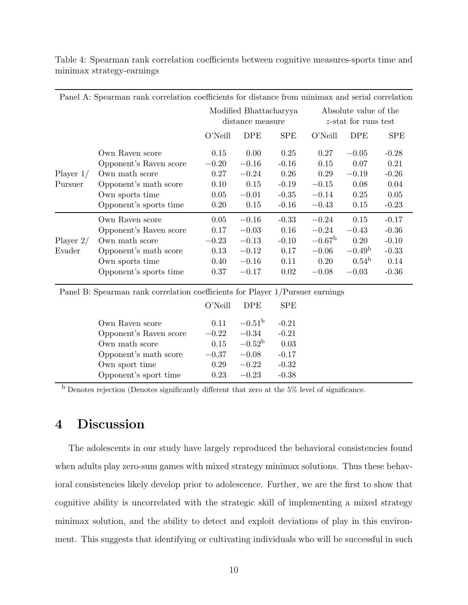|             | Panel A: Spearman rank correlation coefficients for distance from minimax and serial correlation |                                            |            |            |                                                  |                   |             |
|-------------|--------------------------------------------------------------------------------------------------|--------------------------------------------|------------|------------|--------------------------------------------------|-------------------|-------------|
|             |                                                                                                  | Modified Bhattacharyya<br>distance measure |            |            | Absolute value of the<br>$z$ -stat for runs test |                   |             |
|             |                                                                                                  | $O'$ Neill                                 | <b>DPE</b> | <b>SPE</b> | $O'$ Neill                                       | <b>DPE</b>        | ${\rm SPE}$ |
|             | Own Raven score                                                                                  | 0.15                                       | 0.00       | 0.25       | 0.27                                             | $-0.05$           | $-0.28$     |
|             | Opponent's Raven score                                                                           | $-0.20$                                    | $-0.16$    | $-0.16$    | 0.15                                             | 0.07              | 0.21        |
| Player $1/$ | Own math score                                                                                   | 0.27                                       | $-0.24$    | 0.26       | 0.29                                             | $-0.19$           | $-0.26$     |
| Pursuer     | Opponent's math score                                                                            | 0.10                                       | 0.15       | $-0.19$    | $-0.15$                                          | 0.08              | 0.04        |
|             | Own sports time                                                                                  | 0.05                                       | $-0.01$    | $-0.35$    | $-0.14$                                          | 0.25              | 0.05        |
|             | Opponent's sports time                                                                           | 0.20                                       | 0.15       | $-0.16$    | $-0.43$                                          | 0.15              | $-0.23$     |
|             | Own Raven score                                                                                  | 0.05                                       | $-0.16$    | $-0.33$    | $-0.24$                                          | 0.15              | $-0.17$     |
|             | Opponent's Raven score                                                                           | 0.17                                       | $-0.03$    | 0.16       | $-0.24$                                          | $-0.43$           | $-0.36$     |
| Player $2/$ | Own math score                                                                                   | $-0.23$                                    | $-0.13$    | $-0.10$    | $-0.67^{\rm b}$                                  | 0.20              | $-0.10$     |
| Evader      | Opponent's math score                                                                            | 0.13                                       | $-0.12$    | 0.17       | $-0.06$                                          | $-0.49b$          | $-0.33$     |
|             | Own sports time                                                                                  | 0.40                                       | $-0.16$    | 0.11       | 0.20                                             | 0.54 <sup>b</sup> | 0.14        |
|             | Opponent's sports time                                                                           | 0.37                                       | $-0.17$    | 0.02       | $-0.08$                                          | $-0.03$           | $-0.36$     |

Table 4: Spearman rank correlation coefficients between cognitive measures-sports time and minimax strategy-earnings

Panel B: Spearman rank correlation coefficients for Player 1/Pursuer earnings

|                        | ()'Neill | DPE)            | SPE.    |  |
|------------------------|----------|-----------------|---------|--|
| Own Raven score        | 0.11     | $-0.51^{\rm b}$ | $-0.21$ |  |
| Opponent's Raven score | $-0.22$  | $-0.34$         | $-0.21$ |  |
| Own math score         | 0.15     | $-0.52^{\rm b}$ | 0.03    |  |
| Opponent's math score  | $-0.37$  | $-0.08$         | $-0.17$ |  |
| Own sport time         | 0.29     | $-0.22$         | $-0.32$ |  |
| Opponent's sport time  | 0.23     | $-0.23$         | $-0.38$ |  |

<sup>b</sup> Denotes rejection (Denotes significantly different that zero at the 5% level of significance.

# 4 Discussion

The adolescents in our study have largely reproduced the behavioral consistencies found when adults play zero-sum games with mixed strategy minimax solutions. Thus these behavioral consistencies likely develop prior to adolescence. Further, we are the first to show that cognitive ability is uncorrelated with the strategic skill of implementing a mixed strategy minimax solution, and the ability to detect and exploit deviations of play in this environment. This suggests that identifying or cultivating individuals who will be successful in such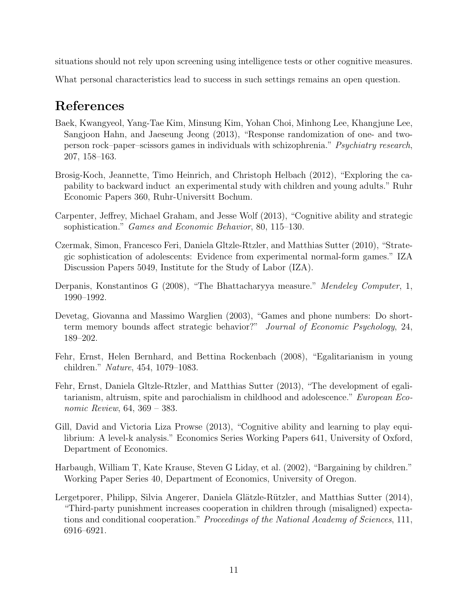situations should not rely upon screening using intelligence tests or other cognitive measures.

What personal characteristics lead to success in such settings remains an open question.

# References

- Baek, Kwangyeol, Yang-Tae Kim, Minsung Kim, Yohan Choi, Minhong Lee, Khangjune Lee, Sangjoon Hahn, and Jaeseung Jeong (2013), "Response randomization of one- and twoperson rock–paper–scissors games in individuals with schizophrenia." Psychiatry research, 207, 158–163.
- Brosig-Koch, Jeannette, Timo Heinrich, and Christoph Helbach (2012), "Exploring the capability to backward induct an experimental study with children and young adults." Ruhr Economic Papers 360, Ruhr-Universitt Bochum.
- Carpenter, Jeffrey, Michael Graham, and Jesse Wolf (2013), "Cognitive ability and strategic sophistication." Games and Economic Behavior, 80, 115–130.
- Czermak, Simon, Francesco Feri, Daniela Gltzle-Rtzler, and Matthias Sutter (2010), "Strategic sophistication of adolescents: Evidence from experimental normal-form games." IZA Discussion Papers 5049, Institute for the Study of Labor (IZA).
- Derpanis, Konstantinos G (2008), "The Bhattacharyya measure." Mendeley Computer, 1, 1990–1992.
- Devetag, Giovanna and Massimo Warglien (2003), "Games and phone numbers: Do shortterm memory bounds affect strategic behavior?" Journal of Economic Psychology, 24, 189–202.
- Fehr, Ernst, Helen Bernhard, and Bettina Rockenbach (2008), "Egalitarianism in young children." Nature, 454, 1079–1083.
- Fehr, Ernst, Daniela Gltzle-Rtzler, and Matthias Sutter (2013), "The development of egalitarianism, altruism, spite and parochialism in childhood and adolescence." European Economic Review, 64, 369 – 383.
- Gill, David and Victoria Liza Prowse (2013), "Cognitive ability and learning to play equilibrium: A level-k analysis." Economics Series Working Papers 641, University of Oxford, Department of Economics.
- Harbaugh, William T, Kate Krause, Steven G Liday, et al. (2002), "Bargaining by children." Working Paper Series 40, Department of Economics, University of Oregon.
- Lergetporer, Philipp, Silvia Angerer, Daniela Glätzle-Rützler, and Matthias Sutter (2014), "Third-party punishment increases cooperation in children through (misaligned) expectations and conditional cooperation." Proceedings of the National Academy of Sciences, 111, 6916–6921.